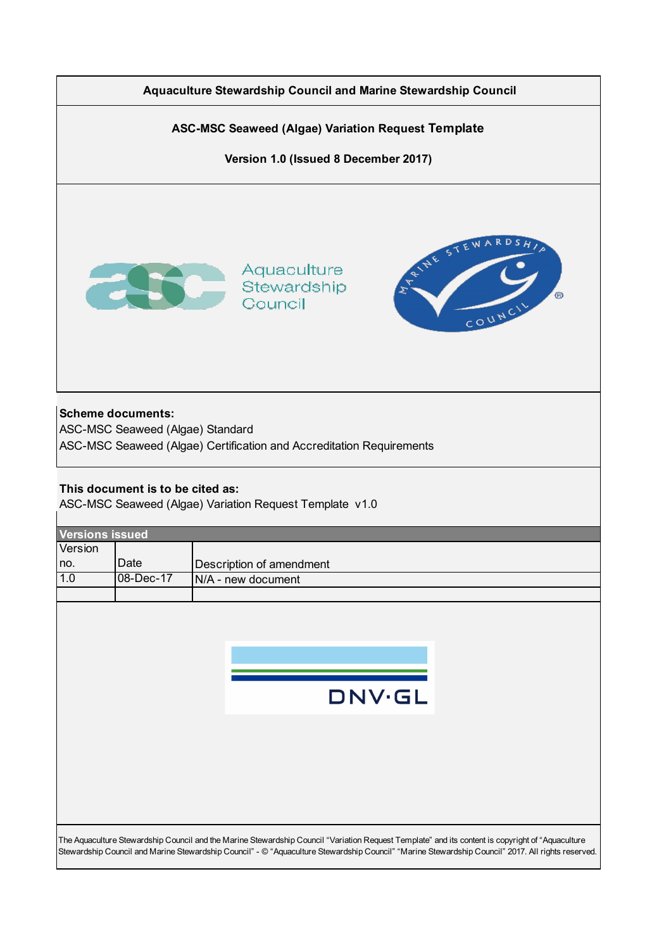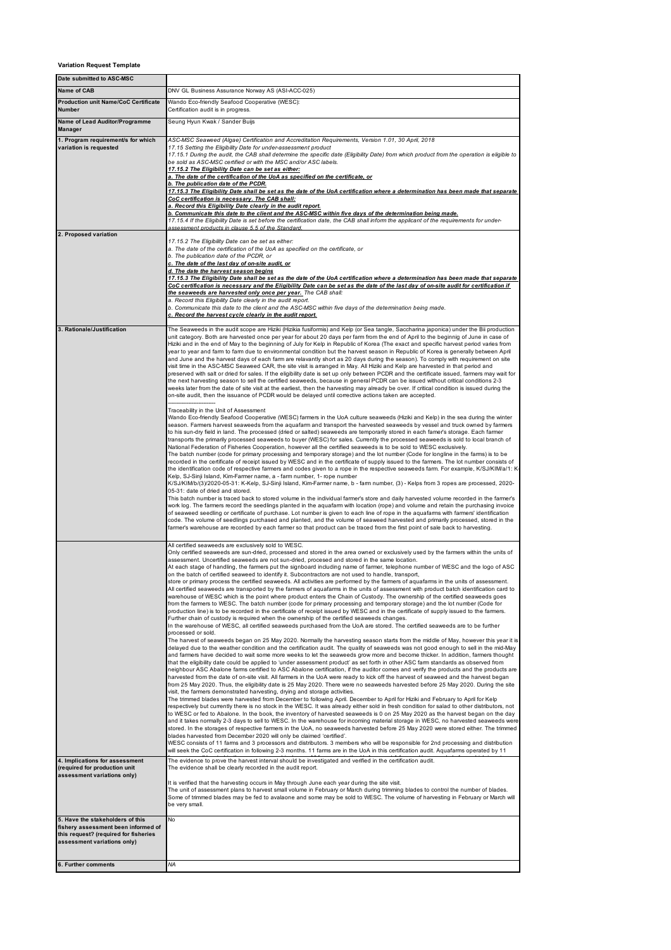## **Variation Request Template**

| Date submitted to ASC-MSC                                                                                                                       |                                                                                                                                                                                                                                                                                                                                                                                                                                                                                                                                                                                                                                                                                                                                                                                                                                                                                                                                                                                                                                                                                                                                                                                                                                                                                                                                                                                                                                                                                                                                                                                                                                                                                                                                                                                                                                                                                                                                                                                                                                                                                                                                                                                                                                                                                                                                                                                                                                                                                                                                                                                                                                                                                                                                                                                                                                                                                                                                                                                                                                                                                                                                                                                                                                                                                                                                                                                                                                                                                                                                                                                                                  |
|-------------------------------------------------------------------------------------------------------------------------------------------------|------------------------------------------------------------------------------------------------------------------------------------------------------------------------------------------------------------------------------------------------------------------------------------------------------------------------------------------------------------------------------------------------------------------------------------------------------------------------------------------------------------------------------------------------------------------------------------------------------------------------------------------------------------------------------------------------------------------------------------------------------------------------------------------------------------------------------------------------------------------------------------------------------------------------------------------------------------------------------------------------------------------------------------------------------------------------------------------------------------------------------------------------------------------------------------------------------------------------------------------------------------------------------------------------------------------------------------------------------------------------------------------------------------------------------------------------------------------------------------------------------------------------------------------------------------------------------------------------------------------------------------------------------------------------------------------------------------------------------------------------------------------------------------------------------------------------------------------------------------------------------------------------------------------------------------------------------------------------------------------------------------------------------------------------------------------------------------------------------------------------------------------------------------------------------------------------------------------------------------------------------------------------------------------------------------------------------------------------------------------------------------------------------------------------------------------------------------------------------------------------------------------------------------------------------------------------------------------------------------------------------------------------------------------------------------------------------------------------------------------------------------------------------------------------------------------------------------------------------------------------------------------------------------------------------------------------------------------------------------------------------------------------------------------------------------------------------------------------------------------------------------------------------------------------------------------------------------------------------------------------------------------------------------------------------------------------------------------------------------------------------------------------------------------------------------------------------------------------------------------------------------------------------------------------------------------------------------------------------------------|
| Name of CAB                                                                                                                                     | DNV GL Business Assurance Norway AS (ASI-ACC-025)                                                                                                                                                                                                                                                                                                                                                                                                                                                                                                                                                                                                                                                                                                                                                                                                                                                                                                                                                                                                                                                                                                                                                                                                                                                                                                                                                                                                                                                                                                                                                                                                                                                                                                                                                                                                                                                                                                                                                                                                                                                                                                                                                                                                                                                                                                                                                                                                                                                                                                                                                                                                                                                                                                                                                                                                                                                                                                                                                                                                                                                                                                                                                                                                                                                                                                                                                                                                                                                                                                                                                                |
| <b>Production unit Name/CoC Certificate</b><br><b>Number</b>                                                                                    | Wando Eco-friendly Seafood Cooperative (WESC):<br>Certification audit is in progress.                                                                                                                                                                                                                                                                                                                                                                                                                                                                                                                                                                                                                                                                                                                                                                                                                                                                                                                                                                                                                                                                                                                                                                                                                                                                                                                                                                                                                                                                                                                                                                                                                                                                                                                                                                                                                                                                                                                                                                                                                                                                                                                                                                                                                                                                                                                                                                                                                                                                                                                                                                                                                                                                                                                                                                                                                                                                                                                                                                                                                                                                                                                                                                                                                                                                                                                                                                                                                                                                                                                            |
| Name of Lead Auditor/Programme<br><b>Manager</b>                                                                                                | Seung Hyun Kwak / Sander Buijs                                                                                                                                                                                                                                                                                                                                                                                                                                                                                                                                                                                                                                                                                                                                                                                                                                                                                                                                                                                                                                                                                                                                                                                                                                                                                                                                                                                                                                                                                                                                                                                                                                                                                                                                                                                                                                                                                                                                                                                                                                                                                                                                                                                                                                                                                                                                                                                                                                                                                                                                                                                                                                                                                                                                                                                                                                                                                                                                                                                                                                                                                                                                                                                                                                                                                                                                                                                                                                                                                                                                                                                   |
| 1. Program requirement/s for which<br>variation is requested                                                                                    | ASC-MSC Seaweed (Algae) Certification and Accreditation Requirements, Version 1.01, 30 April, 2018<br>17.15 Setting the Eligibility Date for under-assessment product<br>17.15.1 During the audit, the CAB shall determine the specific date (Eligibility Date) from which product from the operation is eligible to<br>be sold as ASC-MSC certified or with the MSC and/or ASC labels.<br>17.15.2 The Eligibility Date can be set as either:<br>a. The date of the certification of the UoA as specified on the certificate, or<br>b. The publication date of the PCDR.<br><u>17.15.3 The Eligibility Date shall be set as the date of the UoA certification where a determination has been made that separate</u><br>CoC certification is necessary. The CAB shall:<br>a. Record this Eligibility Date clearly in the audit report.<br>b. Communicate this date to the client and the ASC-MSC within five days of the determination being made.<br>17.15.4 If the Eligibility Date is set before the certification date, the CAB shall inform the applicant of the requirements for under-                                                                                                                                                                                                                                                                                                                                                                                                                                                                                                                                                                                                                                                                                                                                                                                                                                                                                                                                                                                                                                                                                                                                                                                                                                                                                                                                                                                                                                                                                                                                                                                                                                                                                                                                                                                                                                                                                                                                                                                                                                                                                                                                                                                                                                                                                                                                                                                                                                                                                                                     |
| 2. Proposed variation                                                                                                                           | assessment products in clause 5.5 of the Standard.                                                                                                                                                                                                                                                                                                                                                                                                                                                                                                                                                                                                                                                                                                                                                                                                                                                                                                                                                                                                                                                                                                                                                                                                                                                                                                                                                                                                                                                                                                                                                                                                                                                                                                                                                                                                                                                                                                                                                                                                                                                                                                                                                                                                                                                                                                                                                                                                                                                                                                                                                                                                                                                                                                                                                                                                                                                                                                                                                                                                                                                                                                                                                                                                                                                                                                                                                                                                                                                                                                                                                               |
|                                                                                                                                                 | 17.15.2 The Eligibility Date can be set as either:<br>a. The date of the certification of the UoA as specified on the certificate, or<br>b. The publication date of the PCDR, or<br>c. The date of the last day of on-site audit, or<br>d. The date the harvest season begins<br><u>17.15.3 The Eligibility Date shall be set as the date of the UoA certification where a determination has been made that separate</u><br>CoC certification is necessary and the Eligibility Date can be set as the date of the last day of on-site audit for certification if<br>the seaweeds are harvested only once per year. The CAB shall:<br>a. Record this Eligibility Date clearly in the audit report.<br>b. Communicate this date to the client and the ASC-MSC within five days of the determination being made.<br>c. Record the harvest cycle clearly in the audit report.                                                                                                                                                                                                                                                                                                                                                                                                                                                                                                                                                                                                                                                                                                                                                                                                                                                                                                                                                                                                                                                                                                                                                                                                                                                                                                                                                                                                                                                                                                                                                                                                                                                                                                                                                                                                                                                                                                                                                                                                                                                                                                                                                                                                                                                                                                                                                                                                                                                                                                                                                                                                                                                                                                                                        |
| 3. Rationale/Justification                                                                                                                      | The Seaweeds in the audit scope are Hiziki (Hizikia fusiformis) and Kelp (or Sea tangle, Saccharina japonica) under the Bii production<br>unit category. Both are harvested once per year for about 20 days per farm from the end of April to the beginnig of June in case of<br>Hiziki and in the end of May to the beginning of July for Kelp in Republic of Korea (The exact and specific harvest period varies from<br>year to year and farm to farm due to environmental condition but the harvest season in Republic of Korea is generally between April<br>and June and the harvest days of each farm are relavantly short as 20 days during the season). To comply with requirement on site<br>visit time in the ASC-MSC Seaweed CAR, the site visit is arranged in May. All Hiziki and Kelp are harvested in that period and<br>preserved with salt or dried for sales. If the eligibility date is set up only between PCDR and the certificate issued, farmers may wait for<br>the next harvesting season to sell the certified seaweeds, because in general PCDR can be issued without critical conditions 2-3<br>weeks later from the date of site visit at the earliest, then the harvesting may already be over. If critical condition is issued during the<br>on-site audit, then the issuance of PCDR would be delayed until corrective actions taken are accepted.                                                                                                                                                                                                                                                                                                                                                                                                                                                                                                                                                                                                                                                                                                                                                                                                                                                                                                                                                                                                                                                                                                                                                                                                                                                                                                                                                                                                                                                                                                                                                                                                                                                                                                                                                                                                                                                                                                                                                                                                                                                                                                                                                                                                                              |
|                                                                                                                                                 | Traceability in the Unit of Assessment<br>Wando Eco-friendly Seafood Cooperative (WESC) farmers in the UoA culture seaweeds (Hiziki and Kelp) in the sea during the winter<br>season. Farmers harvest seaweeds from the aquafarm and transport the harvested seaweeds by vessel and truck owned by farmers<br>to his sun-dry field in land. The processed (dried or salted) seaweeds are temporarily stored in each famer's storage. Each farmer<br>transports the primarily processed seaweeds to buyer (WESC) for sales. Currently the processed seaweeds is sold to local branch of<br>National Federation of Fisheries Cooperation, however all the certified seaweeds is to be sold to WESC exclusively.<br>The batch number (code for primary processing and temporary storage) and the lot number (Code for longline in the farms) is to be<br>recorded in the certificate of receipt issued by WESC and in the certificate of supply issued to the farmers. The lot number consists of<br>the identification code of respective farmers and codes given to a rope in the respective seaweeds farm. For example, K/SJ/KIM/a/1: K-<br>Kelp, SJ-Sinji Island, Kim-Farmer name, a - farm number, 1- rope number<br>K/SJ/KIM/b/(3)/2020-05-31: K-Kelp, SJ-Sinji Island, Kim-Farmer name, b - farm number, (3) - Kelps from 3 ropes are processed, 2020-<br>05-31: date of dried and stored.<br>This batch number is traced back to stored volume in the individual farmer's store and daily harvested volume recorded in the farmer's<br>work log. The farmers record the seedlings planted in the aquafarm with location (rope) and volume and retain the purchasing invoice<br>of seaweed seedling or certificate of purchase. Lot number is given to each line of rope in the aquafarms with farmers' identification<br>code. The volume of seedlings purchased and planted, and the volume of seaweed harvested and primarily processed, stored in the<br>farmer's warehouse are recorded by each farmer so that product can be traced from the first point of sale back to harvesting.                                                                                                                                                                                                                                                                                                                                                                                                                                                                                                                                                                                                                                                                                                                                                                                                                                                                                                                                                                                                                                                                                                                                                                                                                                                                                                                                                                                                                                                                                                                   |
|                                                                                                                                                 | All certified seaweeds are exclusively sold to WESC.<br>Only certified seaweeds are sun-dried, processed and stored in the area owned or exclusively used by the farmers within the units of<br>assessment. Uncertified seaweeds are not sun-dried, procesed and stored in the same location.<br>At each stage of handling, the farmers put the signboard including name of farmer, telephone number of WESC and the logo of ASC<br>on the batch of certified seaweed to identify it. Subcontractors are not used to handle, transport,<br>store or primary process the certified seaweeds. All activities are performed by the farmers of aquafarms in the units of assessment.<br>All certified seaweeds are transported by the farmers of aquafarms in the units of assessment with product batch identification card to<br>warehouse of WESC which is the point where product enters the Chain of Custody. The ownership of the certified seaweeds goes<br>from the farmers to WESC. The batch number (code for primary processing and temporary storage) and the lot number (Code for<br>production line) is to be recorded in the certificate of receipt issued by WESC and in the certificate of supply issued to the farmers.<br>Further chain of custody is required when the ownership of the certified seaweeds changes.<br>In the warehouse of WESC, all certified seaweeds purchased from the UoA are stored. The certified seaweeds are to be further<br>processed or sold.<br>The harvest of seaweeds began on 25 May 2020. Normally the harvesting season starts from the middle of May, however this year it is<br>delayed due to the weather condition and the certification audit. The quality of seaweeds was not good enough to sell in the mid-May<br>and farmers have decided to wait some more weeks to let the seaweeds grow more and become thicker. In addition, farmers thought<br>that the eligibility date could be applied to 'under assessment product' as set forth in other ASC farm standards as observed from<br>neighbour ASC Abalone farms certified to ASC Abalone certification, if the auditor comes and verify the products and the products are<br>harvested from the date of on-site visit. All farmers in the UoA were ready to kick off the harvest of seaweed and the harvest began<br>from 25 May 2020. Thus, the eligibility date is 25 May 2020. There were no seaweeds harvested before 25 May 2020. During the site<br>visit, the farmers demonstrated harvesting, drying and storage activities.<br>The trimmed blades were harvested from December to following April. December to April for Hiziki and February to April for Kelp<br>respectively but currently there is no stock in the WESC. It was already either sold in fresh condition for salad to other distributors, not<br>to WESC or fed to Abalone. In the book, the inventory of harvested seaweeds is 0 on 25 May 2020 as the harvest began on the day<br>and it takes normally 2-3 days to sell to WESC. In the warehouse for incoming material storage in WESC, no harvested seaweeds were<br>stored. In the storages of respective farmers in the UoA, no seaweeds harvested before 25 May 2020 were stored either. The trimmed<br>blades harvested from December 2020 will only be claimed 'certified'.<br>WESC consists of 11 farms and 3 processors and distributors. 3 members who will be responsible for 2nd processing and distribution<br>will seek the CoC certification in following 2-3 months. 11 farms are in the UoA in this certification audit. Aquafarms operated by 11 |
| 4. Implications for assessment<br>(required for production unit<br>assessment variations only)                                                  | The evidence to prove the harvest interval should be investigated and verified in the certification audit.<br>The evidence shall be clearly recorded in the audit report.<br>It is verified that the harvesting occurs in May through June each year during the site visit.<br>The unit of assessment plans to harvest small volume in February or March during trimming blades to control the number of blades.                                                                                                                                                                                                                                                                                                                                                                                                                                                                                                                                                                                                                                                                                                                                                                                                                                                                                                                                                                                                                                                                                                                                                                                                                                                                                                                                                                                                                                                                                                                                                                                                                                                                                                                                                                                                                                                                                                                                                                                                                                                                                                                                                                                                                                                                                                                                                                                                                                                                                                                                                                                                                                                                                                                                                                                                                                                                                                                                                                                                                                                                                                                                                                                                 |
|                                                                                                                                                 | Some of trimmed blades may be fed to avalaone and some may be sold to WESC. The volume of harvesting in February or March will<br>be very small.                                                                                                                                                                                                                                                                                                                                                                                                                                                                                                                                                                                                                                                                                                                                                                                                                                                                                                                                                                                                                                                                                                                                                                                                                                                                                                                                                                                                                                                                                                                                                                                                                                                                                                                                                                                                                                                                                                                                                                                                                                                                                                                                                                                                                                                                                                                                                                                                                                                                                                                                                                                                                                                                                                                                                                                                                                                                                                                                                                                                                                                                                                                                                                                                                                                                                                                                                                                                                                                                 |
| 5. Have the stakeholders of this<br>fishery assessment been informed of<br>this request? (required for fisheries<br>assessment variations only) | No                                                                                                                                                                                                                                                                                                                                                                                                                                                                                                                                                                                                                                                                                                                                                                                                                                                                                                                                                                                                                                                                                                                                                                                                                                                                                                                                                                                                                                                                                                                                                                                                                                                                                                                                                                                                                                                                                                                                                                                                                                                                                                                                                                                                                                                                                                                                                                                                                                                                                                                                                                                                                                                                                                                                                                                                                                                                                                                                                                                                                                                                                                                                                                                                                                                                                                                                                                                                                                                                                                                                                                                                               |
| 6. Further comments                                                                                                                             | NA                                                                                                                                                                                                                                                                                                                                                                                                                                                                                                                                                                                                                                                                                                                                                                                                                                                                                                                                                                                                                                                                                                                                                                                                                                                                                                                                                                                                                                                                                                                                                                                                                                                                                                                                                                                                                                                                                                                                                                                                                                                                                                                                                                                                                                                                                                                                                                                                                                                                                                                                                                                                                                                                                                                                                                                                                                                                                                                                                                                                                                                                                                                                                                                                                                                                                                                                                                                                                                                                                                                                                                                                               |